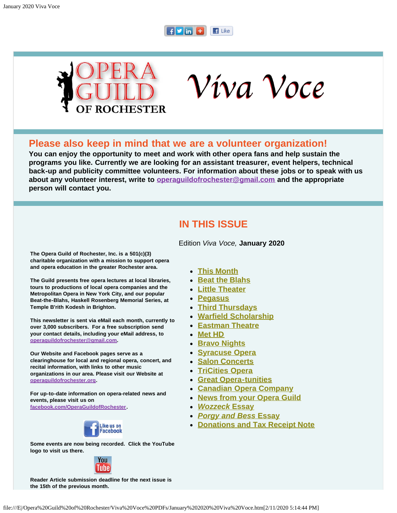#### F**ymF**  $\blacksquare$  Like



Víva Voce

#### **Please also keep in mind that we are a volunteer organization!**

**You can enjoy the opportunity to meet and work with other opera fans and help sustain the programs you like. Currently we are looking for an assistant treasurer, event helpers, technical back-up and publicity committee volunteers. For information about these jobs or to speak with us about any volunteer interest, write to [operaguildofrochester@gmail.com](mailto:operaguildofrochester@gmail.com) and the appropriate person will contact you.**

### **IN THIS ISSUE**

Edition *Viva Voce,* **January 2020**

<span id="page-0-0"></span>**The Opera Guild of Rochester, Inc. is a 501(c)(3) charitable organization with a mission to support opera and opera education in the greater Rochester area.**

**The Guild presents free opera lectures at local libraries, tours to productions of local opera companies and the Metropolitan Opera in New York City, and our popular Beat-the-Blahs, Haskell Rosenberg Memorial Series, at Temple B'rith Kodesh in Brighton.**

**This newsletter is sent via eMail each month, currently to over 3,000 subscribers. For a free subscription send your contact details, including your eMail address, to [operaguildofrochester@gmail.com.](mailto:operaguildofrochester@gmail.com)**

**Our Website and Facebook pages serve as a clearinghouse for local and regional opera, concert, and recital information, with links to other music organizations in our area. Please visit our Website at [operaguildofrochester.org](http://operaguildofrochester.org/).**

**For up-to-date information on opera-related news and events, please visit us on [facebook.com/OperaGuildofRochester](http://facebook.com/OperaGuildofRochester).**



**Some events are now being recorded. Click the YouTube logo to visit us there.**



**Reader Article submission deadline for the next issue is the 15th of the previous month.**

- **[This Month](#page-1-0)**
- **[Beat the Blahs](#page-1-1)**
- **[Little Theater](#page-2-0)**
- **[Pegasus](#page-2-1)**
- **[Third Thursdays](#page-4-0)**
- **[Warfield Scholarship](#page-4-1)**
- **[Eastman Theatre](#page-5-0)**
- **[Met HD](#page-5-1)**
- **[Bravo Nights](#page-7-0)**
- **[Syracuse Opera](#page-7-1)**
- **[Salon Concerts](#page-7-2)**
- **[TriCities Opera](#page-8-0)**
- **[Great Opera-tunities](#page-9-0)**
- **[Canadian Opera Company](#page-10-0)**
- **[News from your Opera Guild](#page-10-1)**
- *[Wozzeck](#page-10-2)* **[Essay](#page-10-2)**
- *[Porgy and Bess](#page-11-0)* **[Essay](#page-11-0)**
- **[Donations and Tax Receipt Note](#page-12-0)**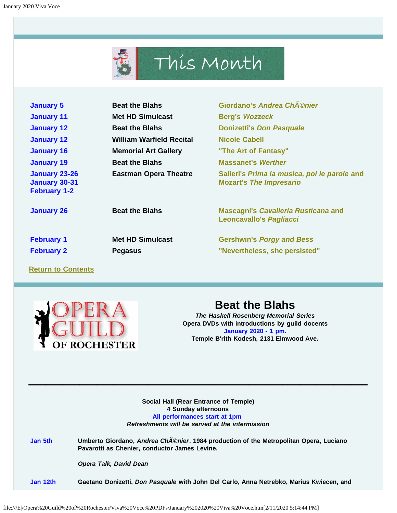## This Month

<span id="page-1-0"></span>

| <b>January 5</b>                                                    | <b>Beat the Blahs</b>           | Giordano's Andrea Ch©nier                                                      |  |
|---------------------------------------------------------------------|---------------------------------|--------------------------------------------------------------------------------|--|
| <b>January 11</b>                                                   | <b>Met HD Simulcast</b>         | <b>Berg's Wozzeck</b>                                                          |  |
| <b>January 12</b>                                                   | <b>Beat the Blahs</b>           | <b>Donizetti's Don Pasquale</b>                                                |  |
| <b>January 12</b>                                                   | <b>William Warfield Recital</b> | <b>Nicole Cabell</b>                                                           |  |
| <b>January 16</b>                                                   | <b>Memorial Art Gallery</b>     | "The Art of Fantasy"                                                           |  |
| <b>January 19</b>                                                   | <b>Beat the Blahs</b>           | <b>Massanet's Werther</b>                                                      |  |
| <b>January 23-26</b><br><b>January 30-31</b><br><b>February 1-2</b> | <b>Eastman Opera Theatre</b>    | Salieri's Prima la musica, poi le parole and<br><b>Mozart's The Impresario</b> |  |
| <b>January 26</b>                                                   | <b>Beat the Blahs</b>           | <b>Mascagni's Cavalleria Rusticana and</b><br><b>Leoncavallo's Pagliacci</b>   |  |
| <b>February 1</b>                                                   | <b>Met HD Simulcast</b>         | <b>Gershwin's Porgy and Bess</b>                                               |  |
| <b>February 2</b>                                                   | <b>Pegasus</b>                  | "Nevertheless, she persisted"                                                  |  |

**[Return to Contents](#page-0-0)**

<span id="page-1-1"></span>

## **Beat the Blahs**

*The Haskell Rosenberg Memorial Series* **Opera DVDs with introductions by guild docents January 2020 - 1 pm. Temple B'rith Kodesh, 2131 Elmwood Ave.**

**Social Hall (Rear Entrance of Temple) 4 Sunday afternoons All performances start at 1pm** *Refreshments will be served at the intermission*

**\_\_\_\_\_\_\_\_\_\_\_\_\_\_\_\_\_\_\_\_**

**Jan 5th Umberto Giordano,** *Andrea Chénier***. 1984 production of the Metropolitan Opera, Luciano Pavarotti as Chenier, conductor James Levine.**

*Opera Talk, David Dean*

**Jan 12th Gaetano Donizetti,** *Don Pasquale* **with John Del Carlo, Anna Netrebko, Marius Kwiecen, and**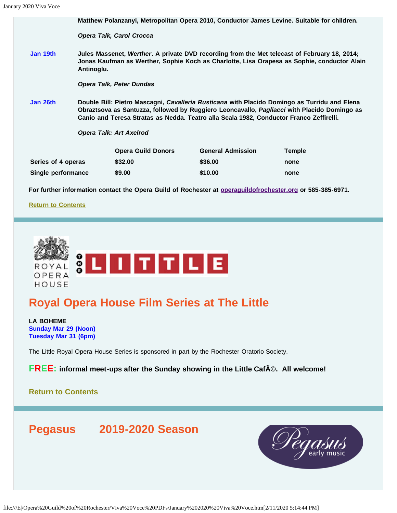|                    | Matthew Polanzanyi, Metropolitan Opera 2010, Conductor James Levine. Suitable for children.                                                                                                                                                                                            |                                 |                                                                                                                   |               |  |
|--------------------|----------------------------------------------------------------------------------------------------------------------------------------------------------------------------------------------------------------------------------------------------------------------------------------|---------------------------------|-------------------------------------------------------------------------------------------------------------------|---------------|--|
|                    |                                                                                                                                                                                                                                                                                        | <b>Opera Talk, Carol Crocca</b> |                                                                                                                   |               |  |
| Jan 19th           | Jules Massenet, Werther. A private DVD recording from the Met telecast of February 18, 2014;<br>Jonas Kaufman as Werther, Sophie Koch as Charlotte, Lisa Orapesa as Sophie, conductor Alain<br>Antinoglu.                                                                              |                                 |                                                                                                                   |               |  |
|                    |                                                                                                                                                                                                                                                                                        | <b>Opera Talk, Peter Dundas</b> |                                                                                                                   |               |  |
| Jan 26th           | Double Bill: Pietro Mascagni, Cavalleria Rusticana with Placido Domingo as Turridu and Elena<br>Obraztsova as Santuzza, followed by Ruggiero Leoncavallo, Pagliacci with Placido Domingo as<br>Canio and Teresa Stratas as Nedda. Teatro alla Scala 1982, Conductor Franco Zeffirelli. |                                 |                                                                                                                   |               |  |
|                    | <b>Opera Talk: Art Axelrod</b>                                                                                                                                                                                                                                                         |                                 |                                                                                                                   |               |  |
|                    |                                                                                                                                                                                                                                                                                        | <b>Opera Guild Donors</b>       | <b>General Admission</b>                                                                                          | <b>Temple</b> |  |
| Series of 4 operas |                                                                                                                                                                                                                                                                                        | \$32.00                         | \$36.00                                                                                                           | none          |  |
| Single performance |                                                                                                                                                                                                                                                                                        | \$9.00                          | \$10.00                                                                                                           | none          |  |
|                    |                                                                                                                                                                                                                                                                                        |                                 | For further information contact the Opera Guild of Rochester at <b>operaguildofrochester.org</b> or 585-385-6971. |               |  |

**[Return to Contents](#page-0-0)**

<span id="page-2-0"></span>

## **Royal Opera House Film Series at The Little**

**LA BOHEME Sunday Mar 29 (Noon) Tuesday Mar 31 (6pm)**

The Little Royal Opera House Series is sponsored in part by the Rochester Oratorio Society.

**FREE:** informal meet-ups after the Sunday showing in the Little CafA©. All welcome!

**[Return to Contents](#page-0-0)**

<span id="page-2-1"></span>**Pegasus 2019-2020 Season**

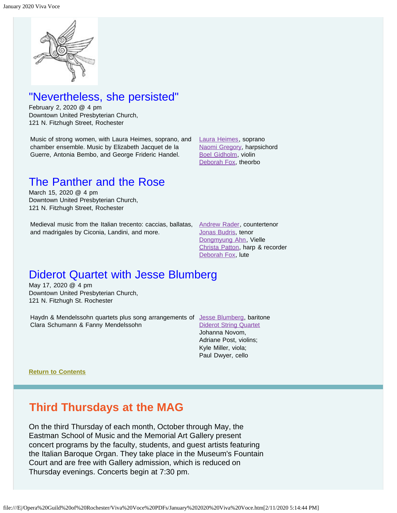

## "Nevertheless, she persisted"

February 2, 2020 @ 4 pm Downtown United Presbyterian Church, 121 N. Fitzhugh Street, Rochester

Music of strong women, with Laura Heimes, soprano, and chamber ensemble. Music by Elizabeth Jacquet de la Guerre, Antonia Bembo, and George Frideric Handel.

[Laura Heimes](https://www.pegasusearlymusic.org/artist/laura-heimes-2/), soprano [Naomi Gregory](https://www.pegasusearlymusic.org/artist/naomi-gregory/), harpsichord [Boel Gidholm](https://www.pegasusearlymusic.org/artist/boel-gidholm/), violin [Deborah Fox](https://www.pegasusearlymusic.org/artist/deborah-fox/), theorbo

## The Panther and the Rose

March 15, 2020 @ 4 pm Downtown United Presbyterian Church, 121 N. Fitzhugh Street, Rochester

Medieval music from the Italian trecento: caccias, ballatas, [Andrew Rader](https://www.pegasusearlymusic.org/artist/andrew-rader/), countertenor and madrigales by Ciconia, Landini, and more.

[Jonas Budris](https://www.pegasusearlymusic.org/artist/jonas-budris/), tenor [Dongmyung Ahn](https://www.pegasusearlymusic.org/artist/dongmyung-ahn/), Vielle [Christa Patton](https://www.pegasusearlymusic.org/artist/christa-patton/), harp & recorder [Deborah Fox](https://www.pegasusearlymusic.org/artist/deborah-fox/), lute

## Diderot Quartet with Jesse Blumberg

May 17, 2020 @ 4 pm Downtown United Presbyterian Church, 121 N. Fitzhugh St. Rochester

Haydn & Mendelssohn quartets plus song arrangements of [Jesse Blumberg](https://www.pegasusearlymusic.org/artist/jesse-blumberg/), baritone Clara Schumann & Fanny Mendelssohn

#### [Diderot String Quartet](https://www.pegasusearlymusic.org/artist/diderot-string-quartet/) Johanna Novom,

Adriane Post, violins; Kyle Miller, viola; Paul Dwyer, cello

**[Return to Contents](#page-0-0)**

## **Third Thursdays at the MAG**

On the third Thursday of each month, October through May, the Eastman School of Music and the Memorial Art Gallery present concert programs by the faculty, students, and guest artists featuring the Italian Baroque Organ. They take place in the Museum's Fountain Court and are free with Gallery admission, which is reduced on Thursday evenings. Concerts begin at 7:30 pm.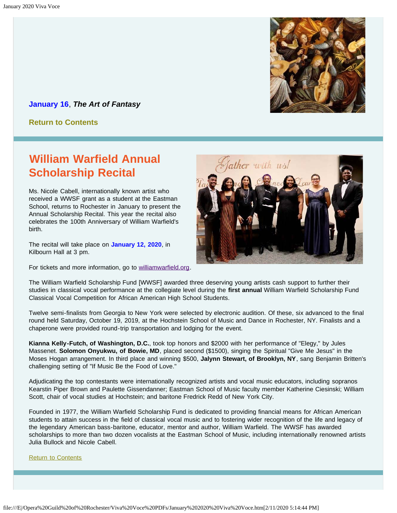

<span id="page-4-0"></span>**January 16**, *The Art of Fantasy*

**[Return to Contents](#page-0-0)**

## <span id="page-4-1"></span>**William Warfield Annual Scholarship Recital**

Ms. Nicole Cabell, internationally known artist who received a WWSF grant as a student at the Eastman School, returns to Rochester in January to present the Annual Scholarship Recital. This year the recital also celebrates the 100th Anniversary of William Warfield's birth.

The recital will take place on **January 12, 2020**, in Kilbourn Hall at 3 pm.

For tickets and more information, go to [williamwarfield.org.](http://www.williamwarfield.org/)



The William Warfield Scholarship Fund [WWSF] awarded three deserving young artists cash support to further their studies in classical vocal performance at the collegiate level during the **first annual** William Warfield Scholarship Fund Classical Vocal Competition for African American High School Students.

Twelve semi-finalists from Georgia to New York were selected by electronic audition. Of these, six advanced to the final round held Saturday, October 19, 2019, at the Hochstein School of Music and Dance in Rochester, NY. Finalists and a chaperone were provided round-trip transportation and lodging for the event.

**Kianna Kelly-Futch, of Washington, D.C.**, took top honors and \$2000 with her performance of "Elegy," by Jules Massenet. **Solomon Onyukwu, of Bowie, MD**, placed second (\$1500), singing the Spiritual "Give Me Jesus" in the Moses Hogan arrangement. In third place and winning \$500, **Jalynn Stewart, of Brooklyn, NY**, sang Benjamin Britten's challenging setting of "If Music Be the Food of Love."

Adjudicating the top contestants were internationally recognized artists and vocal music educators, including sopranos Kearstin Piper Brown and Paulette Gissendanner; Eastman School of Music faculty member Katherine Ciesinski; William Scott, chair of vocal studies at Hochstein; and baritone Fredrick Redd of New York City.

Founded in 1977, the William Warfield Scholarship Fund is dedicated to providing financial means for African American students to attain success in the field of classical vocal music and to fostering wider recognition of the life and legacy of the legendary American bass-baritone, educator, mentor and author, William Warfield. The WWSF has awarded scholarships to more than two dozen vocalists at the Eastman School of Music, including internationally renowned artists Julia Bullock and Nicole Cabell.

[Return to Contents](#page-0-0)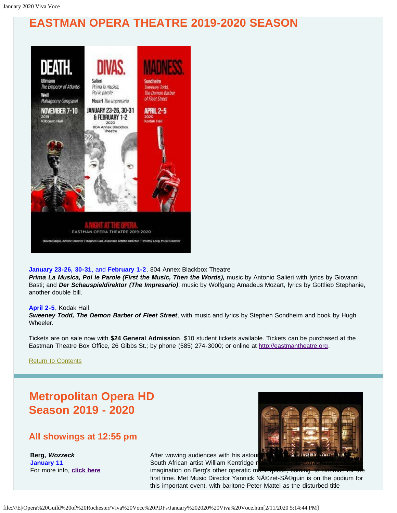## <span id="page-5-0"></span>**EASTMAN OPERA THEATRE 2019-2020 SEASON**



#### **January 23-26, 30-31**, and **February 1-2**, 804 Annex Blackbox Theatre

*Prima La Musica, Poi le Parole (First the Music, Then the Words),* music by Antonio Salieri with lyrics by Giovanni Basti; and *Der Schauspieldirektor (The Impresario)*, music by Wolfgang Amadeus Mozart, lyrics by Gottlieb Stephanie, another double bill.

#### **April 2-5**, Kodak Hall

*Sweeney Todd, The Demon Barber of Fleet Street*, with music and lyrics by Stephen Sondheim and book by Hugh Wheeler.

Tickets are on sale now with **\$24 General Admission**. \$10 student tickets available. Tickets can be purchased at the Eastman Theatre Box Office, 26 Gibbs St.; by phone (585) 274-3000; or online at [http://eastmantheatre.org](http://www.eastmantheatre.org/).

[Return to Contents](#page-0-0)

## <span id="page-5-1"></span>**Metropolitan Opera HD Season 2019 - 2020**

#### **All showings at 12:55 pm**

**Berg,** *Wozzeck*  **January 11**  For more info, **[click here](https://www.metopera.org/season/in-cinemas/2019-20-season/wozzeck-live-in-hd/)**



After wowing audiences with his astour South African artist William Kentridge r

imagination on Berg's other operatic masterpiece, coming to cinemas for first time. Met Music Director Yannick Nézet-Séguin is on the podium for this important event, with baritone Peter Mattei as the disturbed title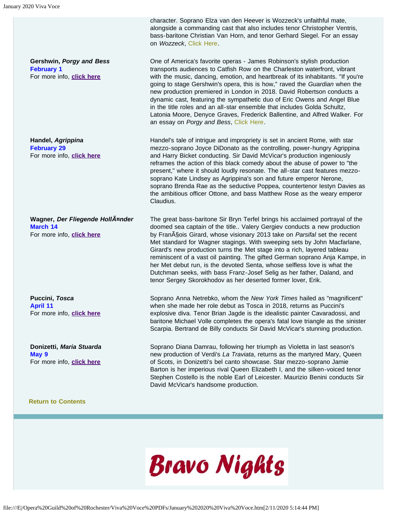**Gershwin,** *Porgy and Bess* **February 1**  For more info, **[click here](https://www.metopera.org/season/in-cinemas/2019-20-season/porgy-and-bess-live-in-hd/)**

**Handel,** *Agrippina*  **February 29**  For more info, **[click here](https://www.metopera.org/season/in-cinemas/2019-20-season/agrippina-live-in-hd/)**

**Wagner,** *Der Fliegende Holländer*  **March 14**  For more info, **[click here](https://www.metopera.org/season/in-cinemas/2019-20-season/der-fliegende-hollander-live-in-hd/)**

**Puccini,** *Tosca*  **April 11**  For more info, **[click here](https://www.metopera.org/season/in-cinemas/2019-20-season/tosca-live-in-hd/)**

**Donizetti,** *Maria Stuarda*  **May 9**  For more info, **[click here](https://www.metopera.org/season/in-cinemas/2019-20-season/maria-stuarda-live-in-hd/)**

#### **[Return to Contents](#page-0-0)**

character. Soprano Elza van den Heever is Wozzeck's unfaithful mate, alongside a commanding cast that also includes tenor Christopher Ventris, bass-baritone Christian Van Horn, and tenor Gerhard Siegel. For an essay on *Wozzeck*, [Click Here.](#page-10-2)

One of America's favorite operas - James Robinson's stylish production transports audiences to Catfish Row on the Charleston waterfront, vibrant with the music, dancing, emotion, and heartbreak of its inhabitants. "If you're going to stage Gershwin's opera, this is how," raved the *Guardian* when the new production premiered in London in 2018. David Robertson conducts a dynamic cast, featuring the sympathetic duo of Eric Owens and Angel Blue in the title roles and an all-star ensemble that includes Golda Schultz, Latonia Moore, Denyce Graves, Frederick Ballentine, and Alfred Walker. For an essay on *Porgy and Bess*, [Click Here.](#page-11-0)

Handel's tale of intrigue and impropriety is set in ancient Rome, with star mezzo-soprano Joyce DiDonato as the controlling, power-hungry Agrippina and Harry Bicket conducting. Sir David McVicar's production ingeniously reframes the action of this black comedy about the abuse of power to "the present," where it should loudly resonate. The all-star cast features mezzosoprano Kate Lindsey as Agrippina's son and future emperor Nerone, soprano Brenda Rae as the seductive Poppea, countertenor Iestyn Davies as the ambitious officer Ottone, and bass Matthew Rose as the weary emperor Claudius.

The great bass-baritone Sir Bryn Terfel brings his acclaimed portrayal of the doomed sea captain of the title.. Valery Gergiev conducts a new production by Fran<sub>A</sub> Sois Girard, whose visionary 2013 take on *Parsifal* set the recent Met standard for Wagner stagings. With sweeping sets by John Macfarlane, Girard's new production turns the Met stage into a rich, layered tableau reminiscent of a vast oil painting. The gifted German soprano Anja Kampe, in her Met debut run, is the devoted Senta, whose selfless love is what the Dutchman seeks, with bass Franz-Josef Selig as her father, Daland, and tenor Sergey Skorokhodov as her deserted former lover, Erik.

Soprano Anna Netrebko, whom the *New York Times* hailed as "magnificent" when she made her role debut as Tosca in 2018, returns as Puccini's explosive diva. Tenor Brian Jagde is the idealistic painter Cavaradossi, and baritone Michael Volle completes the opera's fatal love triangle as the sinister Scarpia. Bertrand de Billy conducts Sir David McVicar's stunning production.

Soprano Diana Damrau, following her triumph as Violetta in last season's new production of Verdi's *La Traviata*, returns as the martyred Mary, Queen of Scots, in Donizetti's bel canto showcase. Star mezzo-soprano Jamie Barton is her imperious rival Queen Elizabeth I, and the silken-voiced tenor Stephen Costello is the noble Earl of Leicester. Maurizio Benini conducts Sir David McVicar's handsome production.

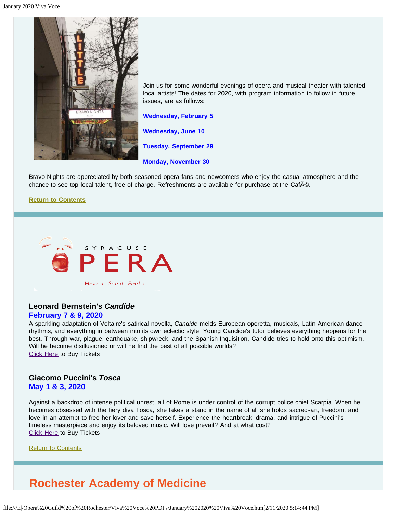<span id="page-7-0"></span>

Join us for some wonderful evenings of opera and musical theater with talented local artists! The dates for 2020, with program information to follow in future issues, are as follows:

**Wednesday, February 5**

**Wednesday, June 10**

**Tuesday, September 29**

**Monday, November 30**

Bravo Nights are appreciated by both seasoned opera fans and newcomers who enjoy the casual atmosphere and the chance to see top local talent, free of charge. Refreshments are available for purchase at the Caf©.

#### **[Return to Contents](#page-0-0)**

<span id="page-7-1"></span>

**Leonard Bernstein's** *Candide*

#### **February 7 & 9, 2020**

A sparkling adaptation of Voltaire's satirical novella, *Candide* melds European operetta, musicals, Latin American dance rhythms, and everything in between into its own eclectic style. Young Candide's tutor believes everything happens for the best. Through war, plague, earthquake, shipwreck, and the Spanish Inquisition, Candide tries to hold onto this optimism. Will he become disillusioned or will he find the best of all possible worlds? [Click Here](https://www.syracuseopera.org/subscriptions) to Buy Tickets

#### **Giacomo Puccini's** *Tosca* **May 1 & 3, 2020**

Against a backdrop of intense political unrest, all of Rome is under control of the corrupt police chief Scarpia. When he becomes obsessed with the fiery diva Tosca, she takes a stand in the name of all she holds sacred-art, freedom, and love-in an attempt to free her lover and save herself. Experience the heartbreak, drama, and intrigue of Puccini's timeless masterpiece and enjoy its beloved music. Will love prevail? And at what cost? **[Click Here](https://www.syracuseopera.org/subscriptions) to Buy Tickets** 

[Return to Contents](#page-0-0)

## <span id="page-7-2"></span>**Rochester Academy of Medicine**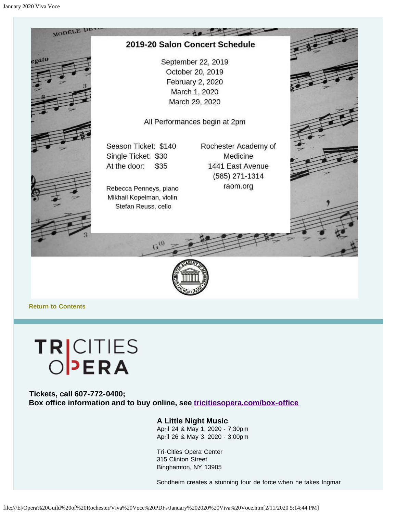



**[Return to Contents](#page-0-0)**

# TRICITIES<br>OPERA

<span id="page-8-0"></span>**Tickets, call 607-772-0400; Box office information and to buy online, see [tricitiesopera.com/box-office](http://tricitiesopera.com/box-office)**

#### **A Little Night Music**

April 24 & May 1, 2020 - 7:30pm April 26 & May 3, 2020 - 3:00pm

Tri-Cities Opera Center 315 Clinton Street Binghamton, NY 13905

Sondheim creates a stunning tour de force when he takes Ingmar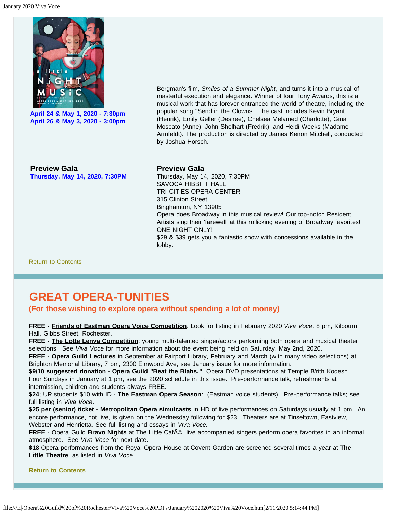

**April 24 & May 1, 2020 - 7:30pm April 26 & May 3, 2020 - 3:00pm**

Bergman's film, *Smiles of a Summer Night*, and turns it into a musical of masterful execution and elegance. Winner of four Tony Awards, this is a musical work that has forever entranced the world of theatre, including the popular song "Send in the Clowns". The cast includes Kevin Bryant (Henrik), Emily Geller (Desiree), Chelsea Melamed (Charlotte), Gina Moscato (Anne), John Shelhart (Fredrik), and Heidi Weeks (Madame Armfeldt). The production is directed by James Kenon Mitchell, conducted by Joshua Horsch.

**Preview Gala Thursday, May 14, 2020, 7:30PM**

#### **Preview Gala**

Thursday, May 14, 2020, 7:30PM SAVOCA HIBBITT HALL TRI-CITIES OPERA CENTER 315 Clinton Street. Binghamton, NY 13905 Opera does Broadway in this musical review! Our top-notch Resident Artists sing their 'farewell' at this rollicking evening of Broadway favorites! ONE NIGHT ONLY! \$29 & \$39 gets you a fantastic show with concessions available in the lobby.

[Return to Contents](#page-0-0)

## <span id="page-9-0"></span>**GREAT OPERA-TUNITIES**

#### **(For those wishing to explore opera without spending a lot of money)**

**FREE - Friends of Eastman Opera Voice Competition**. Look for listing in February 2020 *Viva Voce*. 8 pm, Kilbourn Hall, Gibbs Street, Rochester.

**FREE - The Lotte Lenya Competition**: young multi-talented singer/actors performing both opera and musical theater selections. See *Viva Voce* for more information about the event being held on Saturday, May 2nd, 2020.

**FREE - Opera Guild Lectures** in September at Fairport Library, February and March (with many video selections) at Brighton Memorial Library, 7 pm, 2300 Elmwood Ave, see January issue for more information.

\$9/10 suggested donation - Opera Guild "Beat the Blahs." Opera DVD presentations at Temple B'rith Kodesh. Four Sundays in January at 1 pm, see the 2020 schedule in this issue. Pre-performance talk, refreshments at intermission, children and students always FREE.

**\$24**; UR students \$10 with ID - **The Eastman Opera Season**: (Eastman voice students). Pre-performance talks; see full listing in *Viva Voce*.

**\$25 per (senior) ticket - Metropolitan Opera simulcasts** in HD of live performances on Saturdays usually at 1 pm. An encore performance, not live, is given on the Wednesday following for \$23. Theaters are at Tinseltown, Eastview, Webster and Henrietta. See full listing and essays in *Viva Voce.*

**FREE** - Opera Guild **Bravo Nights** at The Little Caf©, live accompanied singers perform opera favorites in an informal atmosphere. See *Viva Voce* for next date.

**\$18** Opera performances from the Royal Opera House at Covent Garden are screened several times a year at **The Little Theatre**, as listed in *Viva Voce*.

**[Return to Contents](#page-0-0)**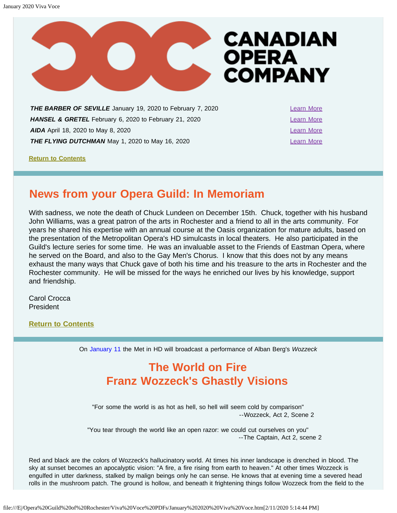

<span id="page-10-0"></span>**THE BARBER OF SEVILLE** January 19, 2020 to February 7, 2020 [Learn More](https://www.coc.ca/productions/18712) **HANSEL & GRETEL** February 6, 2020 to February 21, 2020 [Learn More](https://www.coc.ca/productions/18719) **AIDA** April 18, 2020 to May 8, 2020 **[Learn More](https://www.coc.ca/productions/18731)** 2014 **Learn More THE FLYING DUTCHMAN** May 1, 2020 to May 16, 2020

**[Return to Contents](#page-0-0)**

## <span id="page-10-1"></span>**News from your Opera Guild: In Memoriam**

With sadness, we note the death of Chuck Lundeen on December 15th. Chuck, together with his husband John Williams, was a great patron of the arts in Rochester and a friend to all in the arts community. For years he shared his expertise with an annual course at the Oasis organization for mature adults, based on the presentation of the Metropolitan Opera's HD simulcasts in local theaters. He also participated in the Guild's lecture series for some time. He was an invaluable asset to the Friends of Eastman Opera, where he served on the Board, and also to the Gay Men's Chorus. I know that this does not by any means exhaust the many ways that Chuck gave of both his time and his treasure to the arts in Rochester and the Rochester community. He will be missed for the ways he enriched our lives by his knowledge, support and friendship.

Carol Crocca President

<span id="page-10-2"></span>**[Return to Contents](#page-0-0)**

On January 11 the Met in HD will broadcast a performance of Alban Berg's *Wozzeck*

## **The World on Fire Franz Wozzeck's Ghastly Visions**

"For some the world is as hot as hell, so hell will seem cold by comparison" --Wozzeck, Act 2, Scene 2

"You tear through the world like an open razor: we could cut ourselves on you" --The Captain, Act 2, scene 2

Red and black are the colors of Wozzeck's hallucinatory world. At times his inner landscape is drenched in blood. The sky at sunset becomes an apocalyptic vision: "A fire, a fire rising from earth to heaven." At other times Wozzeck is engulfed in utter darkness, stalked by malign beings only he can sense. He knows that at evening time a severed head rolls in the mushroom patch. The ground is hollow, and beneath it frightening things follow Wozzeck from the field to the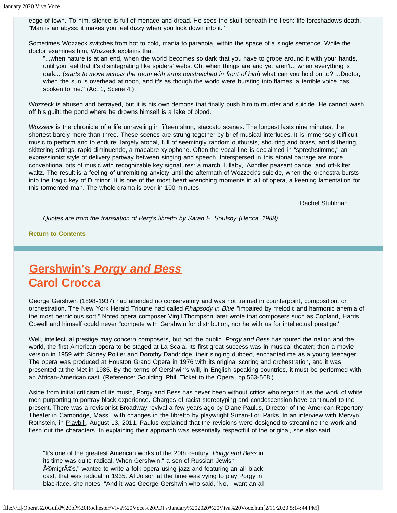edge of town. To him, silence is full of menace and dread. He sees the skull beneath the flesh: life foreshadows death. "Man is an abyss: it makes you feel dizzy when you look down into it."

Sometimes Wozzeck switches from hot to cold, mania to paranoia, within the space of a single sentence. While the doctor examines him, Wozzeck explains that

"...when nature is at an end, when the world becomes so dark that you have to grope around it with your hands, until you feel that it's disintegrating like spiders' webs. Oh, when things are and yet aren't... when everything is dark... (*starts to move across the room with arms outstretched in front of him*) what can you hold on to? ...Doctor, when the sun is overhead at noon, and it's as though the world were bursting into flames, a terrible voice has spoken to me." (Act 1, Scene 4.)

Wozzeck is abused and betrayed, but it is his own demons that finally push him to murder and suicide. He cannot wash off his guilt: the pond where he drowns himself is a lake of blood.

*Wozzeck* is the chronicle of a life unraveling in fifteen short, staccato scenes. The longest lasts nine minutes, the shortest barely more than three. These scenes are strung together by brief musical interludes. It is immensely difficult music to perform and to endure: largely atonal, full of seemingly random outbursts, shouting and brass, and slithering, skittering strings, rapid diminuendo, a macabre xylophone. Often the vocal line is declaimed in "sprechstimme," an expressionist style of delivery partway between singing and speech. Interspersed in this atonal barrage are more conventional bits of music with recognizable key signatures: a march, lullaby, ländler peasant dance, and off-kilter waltz. The result is a feeling of unremitting anxiety until the aftermath of Wozzeck's suicide, when the orchestra bursts into the tragic key of D minor. It is one of the most heart wrenching moments in all of opera, a keening lamentation for this tormented man. The whole drama is over in 100 minutes.

Rachel Stuhlman

*Quotes are from the translation of Berg's libretto by Sarah E. Soulsby (Decca, 1988)*

**[Return to Contents](#page-0-0)**

## <span id="page-11-0"></span>**Gershwin's** *Porgy and Bess* **Carol Crocca**

George Gershwin (1898-1937) had attended no conservatory and was not trained in counterpoint, composition, or orchestration. The New York Herald Tribune had called *Rhapsody in Blue* "impaired by melodic and harmonic anemia of the most pernicious sort." Noted opera composer Virgil Thompson later wrote that composers such as Copland, Harris, Cowell and himself could never "compete with Gershwin for distribution, nor he with us for intellectual prestige."

Well, intellectual prestige may concern composers, but not the public. *Porgy and Bess* has toured the nation and the world, the first American opera to be staged at La Scala. Its first great success was in musical theater; then a movie version in 1959 with Sidney Poitier and Dorothy Dandridge, their singing dubbed, enchanted me as a young teenager. The opera was produced at Houston Grand Opera in 1976 with its original scoring and orchestration, and it was presented at the Met in 1985. By the terms of Gershwin's will, in English-speaking countries, it must be performed with an African-American cast. (Reference: Goulding, Phil, Ticket to the Opera, pp.563-568.)

Aside from initial criticism of its music, Porgy and Bess has never been without critics who regard it as the work of white men purporting to portray black experience. Charges of racist stereotyping and condescension have continued to the present. There was a revisionist Broadway revival a few years ago by Diane Paulus, Director of the American Repertory Theater in Cambridge, Mass., with changes in the libretto by playwright Suzan-Lori Parks. In an interview with Mervyn Rothstein, in Playbill, August 13, 2011, Paulus explained that the revisions were designed to streamline the work and flesh out the characters. In explaining their approach was essentially respectful of the original, she also said

"It's one of the greatest American works of the 20th century. *Porgy and Bess* in its time was quite radical. When Gershwin," a son of Russian-Jewish A©migrA©s," wanted to write a folk opera using jazz and featuring an all-black cast, that was radical in 1935. Al Jolson at the time was vying to play Porgy in blackface, she notes. "And it was George Gershwin who said, 'No, I want an all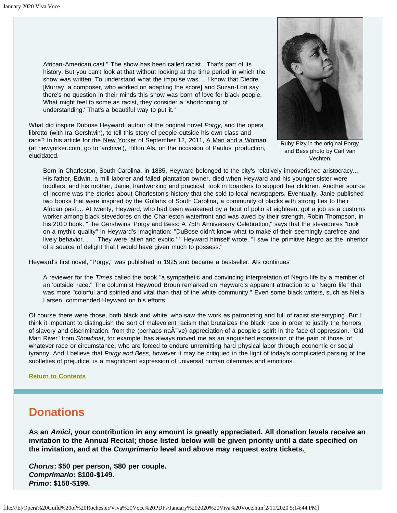African-American cast." The show has been called racist. "That's part of its history. But you can't look at that without looking at the time period in which the show was written. To understand what the impulse was.... I know that Diedre [Murray, a composer, who worked on adapting the score] and Suzan-Lori say there's no question in their minds this show was born of love for black people. What might feel to some as racist, they consider a 'shortcoming of understanding.' That's a beautiful way to put it."

What did inspire Dubose Heyward, author of the original novel *Porgy*, and the opera libretto (with Ira Gershwin), to tell this story of people outside his own class and race? In his article for the New Yorker of September 12, 2011, A Man and a Woman (at newyorker.com, go to 'archive'), Hilton Als, on the occasion of Paulus' production, elucidated.



Ruby Elzy in the original Porgy and Bess photo by Carl van Vechten

Born in Charleston, South Carolina, in 1885, Heyward belonged to the city's relatively impoverished aristocracy... His father, Edwin, a mill laborer and failed plantation owner, died when Heyward and his younger sister were toddlers, and his mother, Janie, hardworking and practical, took in boarders to support her children. Another source of income was the stories about Charleston's history that she sold to local newspapers. Eventually, Janie published two books that were inspired by the Gullahs of South Carolina, a community of blacks with strong ties to their African past.... At twenty, Heyward, who had been weakened by a bout of polio at eighteen, got a job as a customs worker among black stevedores on the Charleston waterfront and was awed by their strength. Robin Thompson, in his 2010 book, "The Gershwins' Porgy and Bess: A 75th Anniversary Celebration," says that the stevedores "took on a mythic quality" in Heyward's imagination: "DuBose didn't know what to make of their seemingly carefree and lively behavior. . . . They were 'alien and exotic.' " Heyward himself wrote, "I saw the primitive Negro as the inheritor of a source of delight that I would have given much to possess."

Heyward's first novel, "Porgy," was published in 1925 and became a bestseller. Als continues

A reviewer for the *Times* called the book "a sympathetic and convincing interpretation of Negro life by a member of an 'outside' race." The columnist Heywood Broun remarked on Heyward's apparent attraction to a "Negro life" that was more "colorful and spirited and vital than that of the white community." Even some black writers, such as Nella Larsen, commended Heyward on his efforts.

Of course there were those, both black and white, who saw the work as patronizing and full of racist stereotyping. But I think it important to distinguish the sort of malevolent racism that brutalizes the black race in order to justify the horrors of slavery and discrimination, from the (perhaps na $\tilde{A}$ <sup>-</sup> ve) appreciation of a people's spirit in the face of oppression. "Old Man River" from *Showboat*, for example, has always moved me as an anguished expression of the pain of those, of whatever race or circumstance, who are forced to endure unremitting hard physical labor through economic or social tyranny. And I believe that *Porgy and Bess*, however it may be critiqued in the light of today's complicated parsing of the subtleties of prejudice, is a magnificent expression of universal human dilemmas and emotions.

#### **[Return to Contents](#page-0-0)**

## <span id="page-12-0"></span>**Donations**

**As an** *Amici***, your contribution in any amount is greatly appreciated. All donation levels receive an invitation to the Annual Recital; those listed below will be given priority until a date specified on the invitation, and at the** *Comprimario* **level and above may request extra tickets.**

*Chorus***: \$50 per person, \$80 per couple.** *Comprimario***: \$100-\$149.** *Primo***: \$150-\$199.**